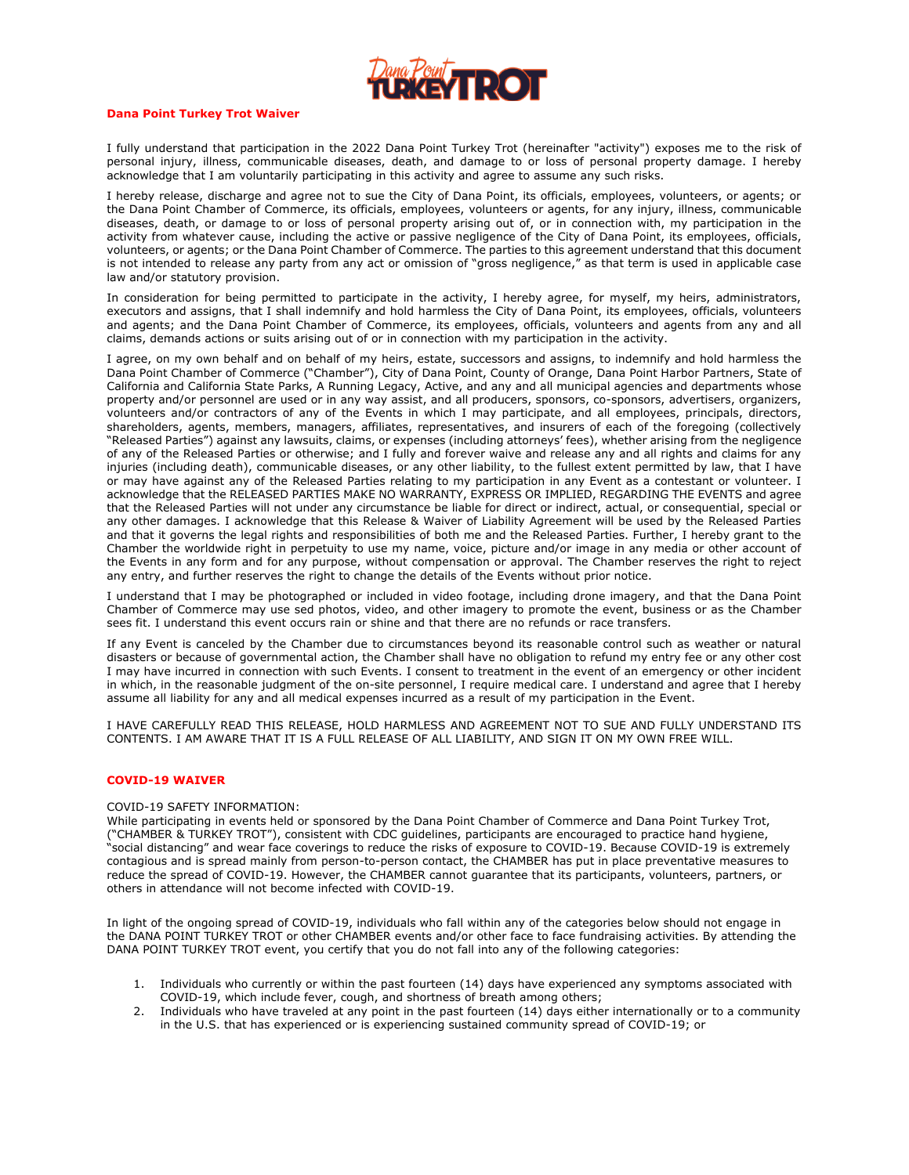

### **Dana Point Turkey Trot Waiver**

I fully understand that participation in the 2022 Dana Point Turkey Trot (hereinafter "activity") exposes me to the risk of personal injury, illness, communicable diseases, death, and damage to or loss of personal property damage. I hereby acknowledge that I am voluntarily participating in this activity and agree to assume any such risks.

I hereby release, discharge and agree not to sue the City of Dana Point, its officials, employees, volunteers, or agents; or the Dana Point Chamber of Commerce, its officials, employees, volunteers or agents, for any injury, illness, communicable diseases, death, or damage to or loss of personal property arising out of, or in connection with, my participation in the activity from whatever cause, including the active or passive negligence of the City of Dana Point, its employees, officials, volunteers, or agents; or the Dana Point Chamber of Commerce. The parties to this agreement understand that this document is not intended to release any party from any act or omission of "gross negligence," as that term is used in applicable case law and/or statutory provision.

In consideration for being permitted to participate in the activity, I hereby agree, for myself, my heirs, administrators, executors and assigns, that I shall indemnify and hold harmless the City of Dana Point, its employees, officials, volunteers and agents; and the Dana Point Chamber of Commerce, its employees, officials, volunteers and agents from any and all claims, demands actions or suits arising out of or in connection with my participation in the activity.

I agree, on my own behalf and on behalf of my heirs, estate, successors and assigns, to indemnify and hold harmless the Dana Point Chamber of Commerce ("Chamber"), City of Dana Point, County of Orange, Dana Point Harbor Partners, State of California and California State Parks, A Running Legacy, Active, and any and all municipal agencies and departments whose property and/or personnel are used or in any way assist, and all producers, sponsors, co-sponsors, advertisers, organizers, volunteers and/or contractors of any of the Events in which I may participate, and all employees, principals, directors, shareholders, agents, members, managers, affiliates, representatives, and insurers of each of the foregoing (collectively "Released Parties") against any lawsuits, claims, or expenses (including attorneys' fees), whether arising from the negligence of any of the Released Parties or otherwise; and I fully and forever waive and release any and all rights and claims for any injuries (including death), communicable diseases, or any other liability, to the fullest extent permitted by law, that I have or may have against any of the Released Parties relating to my participation in any Event as a contestant or volunteer. I acknowledge that the RELEASED PARTIES MAKE NO WARRANTY, EXPRESS OR IMPLIED, REGARDING THE EVENTS and agree that the Released Parties will not under any circumstance be liable for direct or indirect, actual, or consequential, special or any other damages. I acknowledge that this Release & Waiver of Liability Agreement will be used by the Released Parties and that it governs the legal rights and responsibilities of both me and the Released Parties. Further, I hereby grant to the Chamber the worldwide right in perpetuity to use my name, voice, picture and/or image in any media or other account of the Events in any form and for any purpose, without compensation or approval. The Chamber reserves the right to reject any entry, and further reserves the right to change the details of the Events without prior notice.

I understand that I may be photographed or included in video footage, including drone imagery, and that the Dana Point Chamber of Commerce may use sed photos, video, and other imagery to promote the event, business or as the Chamber sees fit. I understand this event occurs rain or shine and that there are no refunds or race transfers.

If any Event is canceled by the Chamber due to circumstances beyond its reasonable control such as weather or natural disasters or because of governmental action, the Chamber shall have no obligation to refund my entry fee or any other cost I may have incurred in connection with such Events. I consent to treatment in the event of an emergency or other incident in which, in the reasonable judgment of the on-site personnel, I require medical care. I understand and agree that I hereby assume all liability for any and all medical expenses incurred as a result of my participation in the Event.

I HAVE CAREFULLY READ THIS RELEASE, HOLD HARMLESS AND AGREEMENT NOT TO SUE AND FULLY UNDERSTAND ITS CONTENTS. I AM AWARE THAT IT IS A FULL RELEASE OF ALL LIABILITY, AND SIGN IT ON MY OWN FREE WILL.

#### **COVID-19 WAIVER**

# COVID-19 SAFETY INFORMATION:

While participating in events held or sponsored by the Dana Point Chamber of Commerce and Dana Point Turkey Trot, ("CHAMBER & TURKEY TROT"), consistent with CDC guidelines, participants are encouraged to practice hand hygiene, "social distancing" and wear face coverings to reduce the risks of exposure to COVID-19. Because COVID-19 is extremely contagious and is spread mainly from person-to-person contact, the CHAMBER has put in place preventative measures to reduce the spread of COVID-19. However, the CHAMBER cannot guarantee that its participants, volunteers, partners, or others in attendance will not become infected with COVID-19.

In light of the ongoing spread of COVID-19, individuals who fall within any of the categories below should not engage in the DANA POINT TURKEY TROT or other CHAMBER events and/or other face to face fundraising activities. By attending the DANA POINT TURKEY TROT event, you certify that you do not fall into any of the following categories:

- 1. Individuals who currently or within the past fourteen (14) days have experienced any symptoms associated with COVID-19, which include fever, cough, and shortness of breath among others;
- 2. Individuals who have traveled at any point in the past fourteen (14) days either internationally or to a community in the U.S. that has experienced or is experiencing sustained community spread of COVID-19; or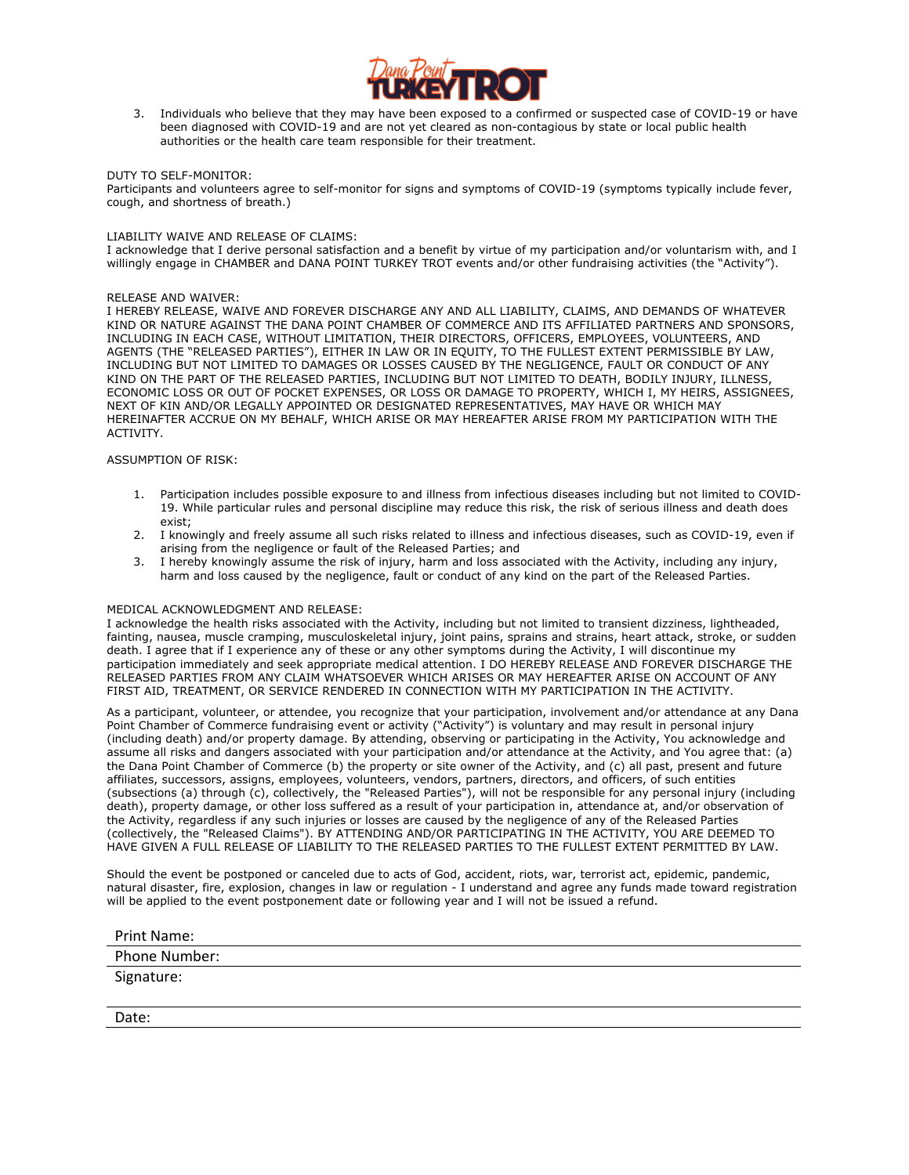

3. Individuals who believe that they may have been exposed to a confirmed or suspected case of COVID-19 or have been diagnosed with COVID-19 and are not yet cleared as non-contagious by state or local public health authorities or the health care team responsible for their treatment.

# DUTY TO SELF-MONITOR:

Participants and volunteers agree to self-monitor for signs and symptoms of COVID-19 (symptoms typically include fever, cough, and shortness of breath.)

# LIABILITY WAIVE AND RELEASE OF CLAIMS:

I acknowledge that I derive personal satisfaction and a benefit by virtue of my participation and/or voluntarism with, and I willingly engage in CHAMBER and DANA POINT TURKEY TROT events and/or other fundraising activities (the "Activity").

## RELEASE AND WAIVER:

I HEREBY RELEASE, WAIVE AND FOREVER DISCHARGE ANY AND ALL LIABILITY, CLAIMS, AND DEMANDS OF WHATEVER KIND OR NATURE AGAINST THE DANA POINT CHAMBER OF COMMERCE AND ITS AFFILIATED PARTNERS AND SPONSORS, INCLUDING IN EACH CASE, WITHOUT LIMITATION, THEIR DIRECTORS, OFFICERS, EMPLOYEES, VOLUNTEERS, AND AGENTS (THE "RELEASED PARTIES"), EITHER IN LAW OR IN EQUITY, TO THE FULLEST EXTENT PERMISSIBLE BY LAW, INCLUDING BUT NOT LIMITED TO DAMAGES OR LOSSES CAUSED BY THE NEGLIGENCE, FAULT OR CONDUCT OF ANY KIND ON THE PART OF THE RELEASED PARTIES, INCLUDING BUT NOT LIMITED TO DEATH, BODILY INJURY, ILLNESS, ECONOMIC LOSS OR OUT OF POCKET EXPENSES, OR LOSS OR DAMAGE TO PROPERTY, WHICH I, MY HEIRS, ASSIGNEES, NEXT OF KIN AND/OR LEGALLY APPOINTED OR DESIGNATED REPRESENTATIVES, MAY HAVE OR WHICH MAY HEREINAFTER ACCRUE ON MY BEHALF, WHICH ARISE OR MAY HEREAFTER ARISE FROM MY PARTICIPATION WITH THE ACTIVITY.

# ASSUMPTION OF RISK:

- 1. Participation includes possible exposure to and illness from infectious diseases including but not limited to COVID-19. While particular rules and personal discipline may reduce this risk, the risk of serious illness and death does exist;
- 2. I knowingly and freely assume all such risks related to illness and infectious diseases, such as COVID-19, even if arising from the negligence or fault of the Released Parties; and
- 3. I hereby knowingly assume the risk of injury, harm and loss associated with the Activity, including any injury, harm and loss caused by the negligence, fault or conduct of any kind on the part of the Released Parties.

## MEDICAL ACKNOWLEDGMENT AND RELEASE:

I acknowledge the health risks associated with the Activity, including but not limited to transient dizziness, lightheaded, fainting, nausea, muscle cramping, musculoskeletal injury, joint pains, sprains and strains, heart attack, stroke, or sudden death. I agree that if I experience any of these or any other symptoms during the Activity, I will discontinue my participation immediately and seek appropriate medical attention. I DO HEREBY RELEASE AND FOREVER DISCHARGE THE RELEASED PARTIES FROM ANY CLAIM WHATSOEVER WHICH ARISES OR MAY HEREAFTER ARISE ON ACCOUNT OF ANY FIRST AID, TREATMENT, OR SERVICE RENDERED IN CONNECTION WITH MY PARTICIPATION IN THE ACTIVITY.

As a participant, volunteer, or attendee, you recognize that your participation, involvement and/or attendance at any Dana Point Chamber of Commerce fundraising event or activity ("Activity") is voluntary and may result in personal injury (including death) and/or property damage. By attending, observing or participating in the Activity, You acknowledge and assume all risks and dangers associated with your participation and/or attendance at the Activity, and You agree that: (a) the Dana Point Chamber of Commerce (b) the property or site owner of the Activity, and (c) all past, present and future affiliates, successors, assigns, employees, volunteers, vendors, partners, directors, and officers, of such entities (subsections (a) through (c), collectively, the "Released Parties"), will not be responsible for any personal injury (including death), property damage, or other loss suffered as a result of your participation in, attendance at, and/or observation of the Activity, regardless if any such injuries or losses are caused by the negligence of any of the Released Parties (collectively, the "Released Claims"). BY ATTENDING AND/OR PARTICIPATING IN THE ACTIVITY, YOU ARE DEEMED TO HAVE GIVEN A FULL RELEASE OF LIABILITY TO THE RELEASED PARTIES TO THE FULLEST EXTENT PERMITTED BY LAW.

Should the event be postponed or canceled due to acts of God, accident, riots, war, terrorist act, epidemic, pandemic, natural disaster, fire, explosion, changes in law or regulation - I understand and agree any funds made toward registration will be applied to the event postponement date or following year and I will not be issued a refund.

| <b>Print Name:</b> |  |
|--------------------|--|
| Phone Number:      |  |
| Signature:         |  |

Date: